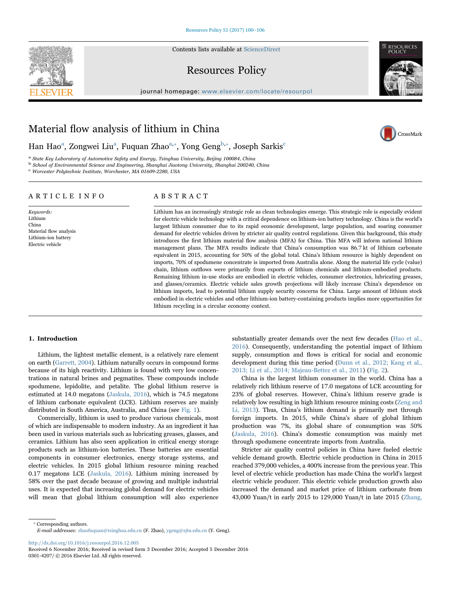Contents lists available at [ScienceDirect](http://www.sciencedirect.com/science/journal/03014207)

## Resources Policy

journal homepage: [www.elsevier.com/locate/resourpol](http://www.elsevier.com/locate/resourpol)



CrossMark

# Material flow analysis of lithium in China

H[a](#page-0-0)n Hao<sup>a</sup>, Zongwei Liu<sup>a</sup>, Fuq[ua](#page-0-0)n Zhao<sup>a,</sup>\*, Yong Geng<sup>[b,](#page-0-2)</sup>\*, Joseph Sarkis<sup>[c](#page-0-3)</sup>

<span id="page-0-0"></span><sup>a</sup> State Key Laboratory of Automotive Safety and Energy, Tsinghua University, Beijing 100084, China

<span id="page-0-2"></span> $\rm ^b$  School of Environmental Science and Engineering, Shanghai Jiaotong University, Shanghai 200240, China c Worcester Polytechnic Institute, Worchester, MA 01609-2280, USA

<span id="page-0-3"></span>

### ARTICLE INFO

Keywords: Lithium China Material flow analysis Lithium-ion battery Electric vehicle

## ABSTRACT

Lithium has an increasingly strategic role as clean technologies emerge. This strategic role is especially evident for electric vehicle technology with a critical dependence on lithium-ion battery technology. China is the world's largest lithium consumer due to its rapid economic development, large population, and soaring consumer demand for electric vehicles driven by stricter air quality control regulations. Given this background, this study introduces the first lithium material flow analysis (MFA) for China. This MFA will inform national lithium management plans. The MFA results indicate that China's consumption was 86.7 kt of lithium carbonate equivalent in 2015, accounting for 50% of the global total. China's lithium resource is highly dependent on imports, 70% of spodumene concentrate is imported from Australia alone. Along the material life cycle (value) chain, lithium outflows were primarily from exports of lithium chemicals and lithium-embodied products. Remaining lithium in-use stocks are embodied in electric vehicles, consumer electronics, lubricating greases, and glasses/ceramics. Electric vehicle sales growth projections will likely increase China's dependence on lithium imports, lead to potential lithium supply security concerns for China. Large amount of lithium stock embodied in electric vehicles and other lithium-ion battery-containing products implies more opportunities for lithium recycling in a circular economy context.

#### 1. Introduction

Lithium, the lightest metallic element, is a relatively rare element on earth ([Garrett, 2004\)](#page-5-0). Lithium naturally occurs in compound forms because of its high reactivity. Lithium is found with very low concentrations in natural brines and pegmatites. These compounds include spodumene, lepidolite, and petalite. The global lithium reserve is estimated at 14.0 megatons [\(Jaskula, 2016](#page-5-1)), which is 74.5 megatons of lithium carbonate equivalent (LCE). Lithium reserves are mainly distributed in South America, Australia, and China (see [Fig. 1](#page-1-0)).

Commercially, lithium is used to produce various chemicals, most of which are indispensable to modern industry. As an ingredient it has been used in various materials such as lubricating greases, glasses, and ceramics. Lithium has also seen application in critical energy storage products such as lithium-ion batteries. These batteries are essential components in consumer electronics, energy storage systems, and electric vehicles. In 2015 global lithium resource mining reached 0.17 megatons LCE ([Jaskula, 2016](#page-5-1)). Lithium mining increased by 58% over the past decade because of growing and multiple industrial uses. It is expected that increasing global demand for electric vehicles will mean that global lithium consumption will also experience

substantially greater demands over the next few decades [\(Hao et al.,](#page-5-2) [2016\)](#page-5-2). Consequently, understanding the potential impact of lithium supply, consumption and flows is critical for social and economic development during this time period [\(Dunn et al., 2012; Kang et al.,](#page-5-3) [2013; Li et al., 2014; Majeau-Bettez et al., 2011](#page-5-3)) ([Fig. 2](#page-1-1)).

China is the largest lithium consumer in the world. China has a relatively rich lithium reserve of 17.0 megatons of LCE accounting for 23% of global reserves. However, China's lithium reserve grade is relatively low resulting in high lithium resource mining costs ([Zeng and](#page-6-0) [Li, 2013](#page-6-0)). Thus, China's lithium demand is primarily met through foreign imports. In 2015, while China's share of global lithium production was 7%, its global share of consumption was 50% ([Jaskula, 2016](#page-5-1)). China's domestic consumption was mainly met through spodumene concentrate imports from Australia.

Stricter air quality control policies in China have fueled electric vehicle demand growth. Electric vehicle production in China in 2015 reached 379,000 vehicles, a 400% increase from the previous year. This level of electric vehicle production has made China the world's largest electric vehicle producer. This electric vehicle production growth also increased the demand and market price of lithium carbonate from 43,000 Yuan/t in early 2015 to 129,000 Yuan/t in late 2015 [\(Zhang,](#page-6-1)

<span id="page-0-1"></span>⁎ Corresponding authors. E-mail addresses: zhaofuquan@tsinghua.edu.cn (F. Zhao), ygeng@sjtu.edu.cn (Y. Geng).

<http://dx.doi.org/10.1016/j.resourpol.2016.12.005>

Received 6 November 2016; Received in revised form 3 December 2016; Accepted 5 December 2016 0301-4207/ © 2016 Elsevier Ltd. All rights reserved.

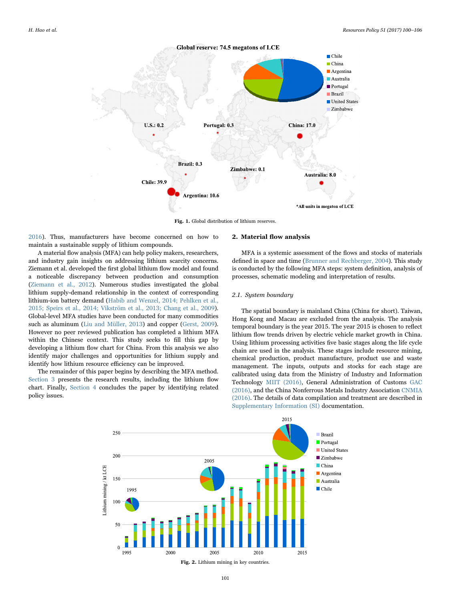<span id="page-1-0"></span>

Fig. 1. Global distribution of lithium reserves.

[2016\)](#page-6-1). Thus, manufacturers have become concerned on how to maintain a sustainable supply of lithium compounds.

A material flow analysis (MFA) can help policy makers, researchers, and industry gain insights on addressing lithium scarcity concerns. Ziemann et al. developed the first global lithium flow model and found a noticeable discrepancy between production and consumption ([Ziemann et al., 2012\)](#page-6-2). Numerous studies investigated the global lithium supply-demand relationship in the context of corresponding lithium-ion battery demand ([Habib and Wenzel, 2014; Pehlken et al.,](#page-5-4) [2015; Speirs et al., 2014; Vikström et al., 2013; Chang et al., 2009\)](#page-5-4). Global-level MFA studies have been conducted for many commodities such as aluminum [\(Liu and Müller, 2013](#page-5-5)) and copper [\(Gerst, 2009\)](#page-5-6). However no peer reviewed publication has completed a lithium MFA within the Chinese context. This study seeks to fill this gap by developing a lithium flow chart for China. From this analysis we also identify major challenges and opportunities for lithium supply and identify how lithium resource efficiency can be improved.

<span id="page-1-1"></span>The remainder of this paper begins by describing the MFA method. [Section 3](#page-4-0) presents the research results, including the lithium flow chart. Finally, [Section 4](#page-4-1) concludes the paper by identifying related policy issues.

#### 2. Material flow analysis

MFA is a systemic assessment of the flows and stocks of materials defined in space and time [\(Brunner and Rechberger, 2004](#page-5-7)). This study is conducted by the following MFA steps: system definition, analysis of processes, schematic modeling and interpretation of results.

#### 2.1. System boundary

The spatial boundary is mainland China (China for short). Taiwan, Hong Kong and Macau are excluded from the analysis. The analysis temporal boundary is the year 2015. The year 2015 is chosen to reflect lithium flow trends driven by electric vehicle market growth in China. Using lithium processing activities five basic stages along the life cycle chain are used in the analysis. These stages include resource mining, chemical production, product manufacture, product use and waste management. The inputs, outputs and stocks for each stage are calibrated using data from the Ministry of Industry and Information Technology [MIIT \(2016\)](#page-5-8), General Administration of Customs [GAC](#page-5-9) [\(2016\),](#page-5-9) and the China Nonferrous Metals Industry Association [CNMIA](#page-5-10) [\(2016\).](#page-5-10) The details of data compilation and treatment are described in Supplementary Information (SI) documentation.

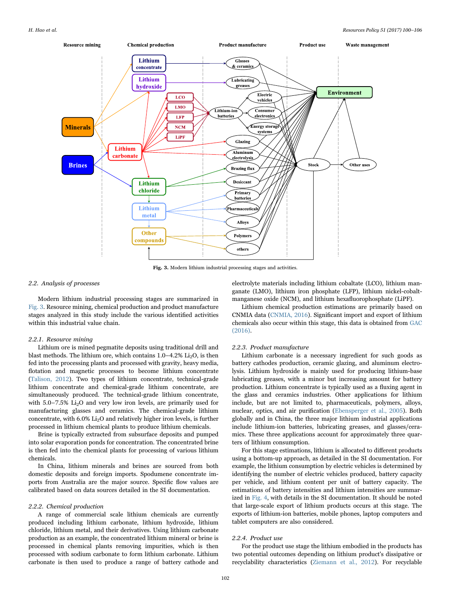<span id="page-2-0"></span>

Fig. 3. Modern lithium industrial processing stages and activities.

#### 2.2. Analysis of processes

Modern lithium industrial processing stages are summarized in [Fig. 3](#page-2-0). Resource mining, chemical production and product manufacture stages analyzed in this study include the various identified activities within this industrial value chain.

#### 2.2.1. Resource mining

Lithium ore is mined pegmatite deposits using traditional drill and blast methods. The lithium ore, which contains  $1.0-4.2\%$  Li<sub>2</sub>O, is then fed into the processing plants and processed with gravity, heavy media, flotation and magnetic processes to become lithium concentrate ([Talison, 2012](#page-6-3)). Two types of lithium concentrate, technical-grade lithium concentrate and chemical-grade lithium concentrate, are simultaneously produced. The technical-grade lithium concentrate, with  $5.0-7.5\%$  Li<sub>2</sub>O and very low iron levels, are primarily used for manufacturing glasses and ceramics. The chemical-grade lithium concentrate, with  $6.0\%$  Li<sub>2</sub>O and relatively higher iron levels, is further processed in lithium chemical plants to produce lithium chemicals.

Brine is typically extracted from subsurface deposits and pumped into solar evaporation ponds for concentration. The concentrated brine is then fed into the chemical plants for processing of various lithium chemicals.

In China, lithium minerals and brines are sourced from both domestic deposits and foreign imports. Spodumene concentrate imports from Australia are the major source. Specific flow values are calibrated based on data sources detailed in the SI documentation.

#### 2.2.2. Chemical production

A range of commercial scale lithium chemicals are currently produced including lithium carbonate, lithium hydroxide, lithium chloride, lithium metal, and their derivatives. Using lithium carbonate production as an example, the concentrated lithium mineral or brine is processed in chemical plants removing impurities, which is then processed with sodium carbonate to form lithium carbonate. Lithium carbonate is then used to produce a range of battery cathode and

electrolyte materials including lithium cobaltate (LCO), lithium manganate (LMO), lithium iron phosphate (LFP), lithium nickel-cobaltmanganese oxide (NCM), and lithium hexafluorophosphate (LiPF).

Lithium chemical production estimations are primarily based on CNMIA data [\(CNMIA, 2016\)](#page-5-10). Significant import and export of lithium chemicals also occur within this stage, this data is obtained from [GAC](#page-5-9) [\(2016\).](#page-5-9)

#### 2.2.3. Product manufacture

Lithium carbonate is a necessary ingredient for such goods as battery cathodes production, ceramic glazing, and aluminum electrolysis. Lithium hydroxide is mainly used for producing lithium-base lubricating greases, with a minor but increasing amount for battery production. Lithium concentrate is typically used as a fluxing agent in the glass and ceramics industries. Other applications for lithium include, but are not limited to, pharmaceuticals, polymers, alloys, nuclear, optics, and air purification [\(Ebensperger et al., 2005](#page-5-11)). Both globally and in China, the three major lithium industrial applications include lithium-ion batteries, lubricating greases, and glasses/ceramics. These three applications account for approximately three quarters of lithium consumption.

For this stage estimations, lithium is allocated to different products using a bottom-up approach, as detailed in the SI documentation. For example, the lithium consumption by electric vehicles is determined by identifying the number of electric vehicles produced, battery capacity per vehicle, and lithium content per unit of battery capacity. The estimations of battery intensities and lithium intensities are summarized in [Fig. 4,](#page-3-0) with details in the SI documentation. It should be noted that large-scale export of lithium products occurs at this stage. The exports of lithium-ion batteries, mobile phones, laptop computers and tablet computers are also considered.

#### 2.2.4. Product use

For the product use stage the lithium embodied in the products has two potential outcomes depending on lithium product's dissipative or recyclability characteristics [\(Ziemann et al., 2012\)](#page-6-2). For recyclable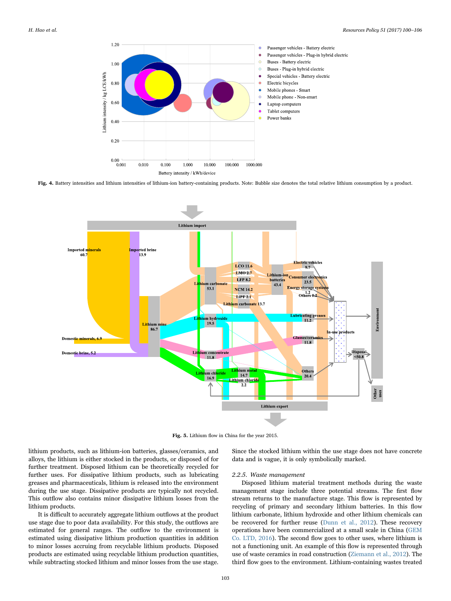<span id="page-3-0"></span>

<span id="page-3-1"></span>Fig. 4. Battery intensities and lithium intensities of lithium-ion battery-containing products. Note: Bubble size denotes the total relative lithium consumption by a product.



Fig. 5. Lithium flow in China for the year 2015.

lithium products, such as lithium-ion batteries, glasses/ceramics, and alloys, the lithium is either stocked in the products, or disposed of for further treatment. Disposed lithium can be theoretically recycled for further uses. For dissipative lithium products, such as lubricating greases and pharmaceuticals, lithium is released into the environment during the use stage. Dissipative products are typically not recycled. This outflow also contains minor dissipative lithium losses from the lithium products.

It is difficult to accurately aggregate lithium outflows at the product use stage due to poor data availability. For this study, the outflows are estimated for general ranges. The outflow to the environment is estimated using dissipative lithium production quantities in addition to minor losses accruing from recyclable lithium products. Disposed products are estimated using recyclable lithium production quantities, while subtracting stocked lithium and minor losses from the use stage.

Since the stocked lithium within the use stage does not have concrete data and is vague, it is only symbolically marked.

#### 2.2.5. Waste management

Disposed lithium material treatment methods during the waste management stage include three potential streams. The first flow stream returns to the manufacture stage. This flow is represented by recycling of primary and secondary lithium batteries. In this flow lithium carbonate, lithium hydroxide and other lithium chemicals can be recovered for further reuse ([Dunn et al., 2012\)](#page-5-3). These recovery operations have been commercialized at a small scale in China [\(GEM](#page-5-12) [Co. LTD, 2016\)](#page-5-12). The second flow goes to other uses, where lithium is not a functioning unit. An example of this flow is represented through use of waste ceramics in road construction [\(Ziemann et al., 2012\)](#page-6-2). The third flow goes to the environment. Lithium-containing wastes treated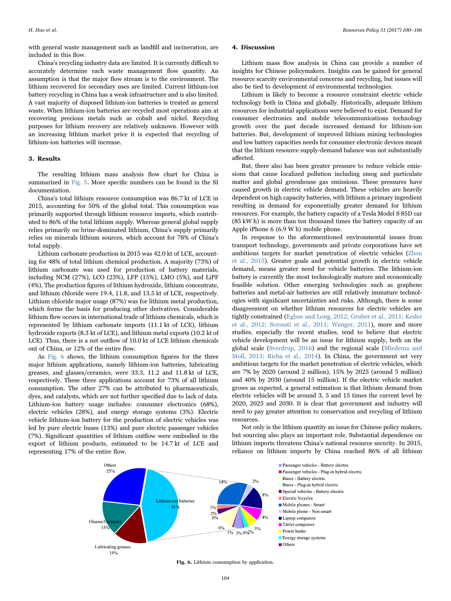with general waste management such as landfill and incineration, are included in this flow.

China's recycling industry data are limited. It is currently difficult to accurately determine each waste management flow quantity. An assumption is that the major flow stream is to the environment. The lithium recovered for secondary uses are limited. Current lithium-ion battery recycling in China has a weak infrastructure and is also limited. A vast majority of disposed lithium-ion batteries is treated as general waste. When lithium-ion batteries are recycled most operations aim at recovering precious metals such as cobalt and nickel. Recycling purposes for lithium recovery are relatively unknown. However with an increasing lithium market price it is expected that recycling of lithium-ion batteries will increase.

#### <span id="page-4-0"></span>3. Results

The resulting lithium mass analysis flow chart for China is summarized in [Fig. 5](#page-3-1). More specific numbers can be found in the SI documentation.

China's total lithium resource consumption was 86.7 kt of LCE in 2015, accounting for 50% of the global total. This consumption was primarily supported through lithium resource imports, which contributed to 86% of the total lithium supply. Whereas general global supply relies primarily on brine-dominated lithium, China's supply primarily relies on minerals lithium sources, which account for 78% of China's total supply.

Lithium carbonate production in 2015 was 42.0 kt of LCE, accounting for 48% of total lithium chemical production. A majority (73%) of lithium carbonate was used for production of battery materials, including NCM (27%), LCO (23%), LFP (15%), LMO (5%), and LiPF (4%). The production figures of lithium hydroxide, lithium concentrate, and lithium chloride were 19.4, 11.8, and 13.5 kt of LCE, respectively. Lithium chloride major usage (87%) was for lithium metal production, which forms the basis for producing other derivatives. Considerable lithium flow occurs in international trade of lithium chemicals, which is represented by lithium carbonate imports (11.1 kt of LCE), lithium hydroxide exports (8.3 kt of LCE), and lithium metal exports (10.2 kt of LCE). Thus, there is a net outflow of 10.0 kt of LCE lithium chemicals out of China, or 12% of the entire flow.

As [Fig. 6](#page-4-2) shows, the lithium consumption figures for the three major lithium applications, namely lithium-ion batteries, lubricating greases, and glasses/ceramics, were 33.3, 11.2 and 11.8 kt of LCE, respectively. These three applications account for 73% of all lithium consumption. The other 27% can be attributed to pharmaceuticals, dyes, and catalysts, which are not further specified due to lack of data. Lithium-ion battery usage includes: consumer electronics (68%), electric vehicles (28%), and energy storage systems (3%). Electric vehicle lithium-ion battery for the production of electric vehicles was led by pure electric buses (13%) and pure electric passenger vehicles (7%). Significant quantities of lithium outflow were embodied in the export of lithium products, estimated to be 14.7 kt of LCE and representing 17% of the entire flow.

#### <span id="page-4-1"></span>4. Discussion

Lithium mass flow analysis in China can provide a number of insights for Chinese policymakers. Insights can be gained for general resource scarcity environmental concerns and recycling, but issues will also be tied to development of environmental technologies.

Lithium is likely to become a resource constraint electric vehicle technology both in China and globally. Historically, adequate lithium resources for industrial applications were believed to exist. Demand for consumer electronics and mobile telecommunications technology growth over the past decade increased demand for lithium-ion batteries. But, development of improved lithium mining technologies and low battery capacities needs for consumer electronic devices meant that the lithium resource supply-demand balance was not substantially affected.

But, there also has been greater pressure to reduce vehicle emissions that cause localized pollution including smog and particulate matter and global greenhouse gas emissions. These pressures have caused growth in electric vehicle demand. These vehicles are heavily dependent on high capacity batteries, with lithium a primary ingredient resulting in demand for exponentially greater demand for lithium resources. For example, the battery capacity of a Tesla Model S 85D car (85 kW h) is more than ten thousand times the battery capacity of an Apple iPhone 6 (6.9 W h) mobile phone.

In response to the aforementioned environmental issues from transport technology, governments and private corporations have set ambitious targets for market penetration of electric vehicles [\(Zhou](#page-6-4) [et al., 2015\)](#page-6-4). Greater goals and potential growth in electric vehicle demand, means greater need for vehicle batteries. The lithium-ion battery is currently the most technologically mature and economically feasible solution. Other emerging technologies such as graphene batteries and metal-air batteries are still relatively immature technologies with significant uncertainties and risks. Although, there is some disagreement on whether lithium resources for electric vehicles are tightly constrained [\(Egbue and Long, 2012; Gruber et al., 2011; Kesler](#page-5-13) [et al., 2012; Scrosati et al., 2011; Wanger, 2011](#page-5-13)), more and more studies, especially the recent studies, tend to believe that electric vehicle development will be an issue for lithium supply, both on the global scale ([Sverdrup, 2016](#page-6-5)) and the regional scale ([Miedema and](#page-5-14) [Moll, 2013; Richa et al., 2014\)](#page-5-14). In China, the government set very ambitious targets for the market penetration of electric vehicles, which are 7% by 2020 (around 2 million), 15% by 2025 (around 5 million) and 40% by 2030 (around 15 million). If the electric vehicle market grows as expected, a general estimation is that lithium demand from electric vehicles will be around 3, 5 and 15 times the current level by 2020, 2025 and 2030. It is clear that government and industry will need to pay greater attention to conservation and recycling of lithium resources.

Not only is the lithium quantity an issue for Chinese policy makers, but sourcing also plays an important role. Substantial dependence on lithium imports threatens China's national resource security. In 2015, reliance on lithium imports by China reached 86% of all lithium

<span id="page-4-2"></span>

Fig. 6. Lithium consumption by application.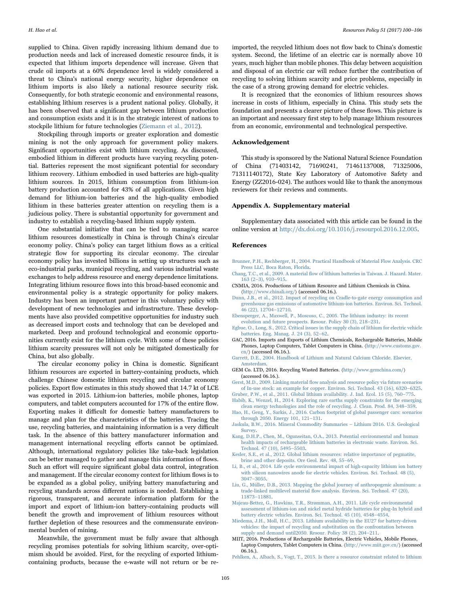supplied to China. Given rapidly increasing lithium demand due to production needs and lack of increased domestic resource finds, it is expected that lithium imports dependence will increase. Given that crude oil imports at a 60% dependence level is widely considered a threat to China's national energy security, higher dependence on lithium imports is also likely a national resource security risk. Consequently, for both strategic economic and environmental reasons, establishing lithium reserves is a prudent national policy. Globally, it has been observed that a significant gap between lithium production and consumption exists and it is in the strategic interest of nations to stockpile lithium for future technologies [\(Ziemann et al., 2012\)](#page-6-2).

Stockpiling through imports or greater exploration and domestic mining is not the only approach for government policy makers. Significant opportunities exist with lithium recycling. As discussed, embodied lithium in different products have varying recycling potential. Batteries represent the most significant potential for secondary lithium recovery. Lithium embodied in used batteries are high-quality lithium sources. In 2015, lithium consumption from lithium-ion battery production accounted for 43% of all applications. Given high demand for lithium-ion batteries and the high-quality embodied lithium in these batteries greater attention on recycling them is a judicious policy. There is substantial opportunity for government and industry to establish a recycling-based lithium supply system.

One substantial initiative that can be tied to managing scarce lithium resources domestically in China is through China's circular economy policy. China's policy can target lithium flows as a critical strategic flow for supporting its circular economy. The circular economy policy has invested billions in setting up structures such as eco-industrial parks, municipal recycling, and various industrial waste exchanges to help address resource and energy dependence limitations. Integrating lithium resource flows into this broad-based economic and environmental policy is a strategic opportunity for policy makers. Industry has been an important partner in this voluntary policy with development of new technologies and infrastructure. These developments have also provided competitive opportunities for industry such as decreased import costs and technology that can be developed and marketed. Deep and profound technological and economic opportunities currently exist for the lithium cycle. With some of these policies lithium scarcity pressures will not only be mitigated domestically for China, but also globally.

The circular economy policy in China is domestic. Significant lithium resources are exported in battery-containing products, which challenge Chinese domestic lithium recycling and circular economy policies. Export flow estimates in this study showed that 14.7 kt of LCE was exported in 2015. Lithium-ion batteries, mobile phones, laptop computers, and tablet computers accounted for 17% of the entire flow. Exporting makes it difficult for domestic battery manufacturers to manage and plan for the characteristics of the batteries. Tracing the use, recycling batteries, and maintaining information is a very difficult task. In the absence of this battery manufacturer information and management international recycling efforts cannot be optimized. Although, international regulatory policies like take-back legislation can be better managed to gather and manage this information of flows. Such an effort will require significant global data control, integration and management. If the circular economy context for lithium flows is to be expanded as a global policy, unifying battery manufacturing and recycling standards across different nations is needed. Establishing a rigorous, transparent, and accurate information platform for the import and export of lithium-ion battery-containing products will benefit the growth and improvement of lithium resources without further depletion of these resources and the commensurate environmental burden of mining.

Meanwhile, the government must be fully aware that although recycling promises potentials for solving lithium scarcity, over-optimism should be avoided. First, for the recycling of exported lithiumcontaining products, because the e-waste will not return or be reimported, the recycled lithium does not flow back to China's domestic system. Second, the lifetime of an electric car is normally above 10 years, much higher than mobile phones. This delay between acquisition and disposal of an electric car will reduce further the contribution of recycling to solving lithium scarcity and price problems, especially in the case of a strong growing demand for electric vehicles.

It is recognized that the economics of lithium resources shows increase in costs of lithium, especially in China. This study sets the foundation and presents a clearer picture of these flows. This picture is an important and necessary first step to help manage lithium resources from an economic, environmental and technological perspective.

#### Acknowledgement

This study is sponsored by the National Natural Science Foundation of China (71403142, 71690241, 71461137008, 71325006, 71311140172), State Key Laboratory of Automotive Safety and Energy (ZZ2016-024). The authors would like to thank the anonymous reviewers for their reviews and comments.

#### Appendix A. Supplementary material

Supplementary data associated with this article can be found in the online version at <http://dx.doi.org/10.1016/j.resourpol.2016.12.005>.

#### References

- <span id="page-5-7"></span>[Brunner, P.H., Rechberger, H., 2004. Practical Handbook of Material Flow Analysis. CRC](http://refhub.elsevier.com/S0301-16)30377-sbref1) [Press LLC, Boca Raton, Florida.](http://refhub.elsevier.com/S0301-16)30377-sbref1)
- Chang, T.C., et al., 2009. A material fl[ow of lithium batteries in Taiwan. J. Hazard. Mater.](http://refhub.elsevier.com/S0301-16)30377-sbref2) 163 (2–[3\), 910](http://refhub.elsevier.com/S0301-16)30377-sbref2)–915.
- <span id="page-5-10"></span>CNMIA, 2016. Productions of Lithium Resource and Lithium Chemicals in China. 〈<http://www.chinali.org/>〉 (accessed 06.16.).
- <span id="page-5-3"></span>[Dunn, J.B., et al., 2012. Impact of recycling on Cradle-to-gate energy consumption and](http://refhub.elsevier.com/S0301-16)30377-sbref3) [greenhouse gas emissions of automotive lithium-ion batteries. Environ. Sci. Technol.](http://refhub.elsevier.com/S0301-16)30377-sbref3) [46 \(22\), 12704](http://refhub.elsevier.com/S0301-16)30377-sbref3)–12710.
- <span id="page-5-11"></span>[Ebensperger, A., Maxwell, P., Moscoso, C., 2005. The lithium industry: its recent](http://refhub.elsevier.com/S0301-16)30377-sbref4) [evolution and future prospects. Resour. Policy 30 \(3\), 218](http://refhub.elsevier.com/S0301-16)30377-sbref4)–231.
- <span id="page-5-13"></span>[Egbue, O., Long, S., 2012. Critical issues in the supply chain of lithium for electric vehicle](http://refhub.elsevier.com/S0301-16)30377-sbref5) [batteries. Eng. Manag. J. 24 \(3\), 52](http://refhub.elsevier.com/S0301-16)30377-sbref5)–62.
- <span id="page-5-9"></span>GAC, 2016. Imports and Exports of Lithium Chemicals, Rechargeable Batteries, Mobile Phones, Laptop Computers, Tablet Computers in China. 〈[http://www.customs.gov.](http://www.customs.gov.cn/) [cn/](http://www.customs.gov.cn/) $\rangle$  (accessed 06.16.).
- <span id="page-5-0"></span>[Garrett, D.E., 2004. Handbook of Lithium and Natural Calcium Chloride. Elsevier,](http://refhub.elsevier.com/S0301-16)30377-sbref6) [Amsterdam.](http://refhub.elsevier.com/S0301-16)30377-sbref6)
- <span id="page-5-12"></span>GEM Co. LTD, 2016. Recycling Wasted Batteries. 〈<http://www.gemchina.com/>〉 (accessed 06.16.).

<span id="page-5-6"></span>Gerst, M.D., 2009. Linking material fl[ow analysis and resource policy via future scenarios](http://refhub.elsevier.com/S0301-16)30377-sbref7) [of In-use stock: an example for copper. Environ. Sci. Technol. 43 \(16\), 6320](http://refhub.elsevier.com/S0301-16)30377-sbref7)–6325. [Gruber, P.W., et al., 2011. Global lithium availability. J. Ind. Ecol. 15 \(5\), 760](http://refhub.elsevier.com/S0301-16)30377-sbref8)–775.

- <span id="page-5-4"></span>[Habib, K., Wenzel, H., 2014. Exploring rare earths supply constraints for the emerging](http://refhub.elsevier.com/S0301-16)30377-sbref9) [clean energy technologies and the role of recycling. J. Clean. Prod. 84, 348](http://refhub.elsevier.com/S0301-16)30377-sbref9)–359.
- <span id="page-5-2"></span>[Hao, H., Geng, Y., Sarkis, J., 2016. Carbon footprint of global passenger cars: scenarios](http://refhub.elsevier.com/S0301-16)30377-sbref10) [through 2050. Energy 101, 121](http://refhub.elsevier.com/S0301-16)30377-sbref10)–131.
- <span id="page-5-1"></span>[Jaskula, B.W., 2016. Mineral Commodity Summaries](http://refhub.elsevier.com/S0301-16)30377-sbref11) – Lithium 2016. U.S. Geological **Survey**
- [Kang, D.H.P., Chen, M., Ogunseitan, O.A., 2013. Potential environmental and human](http://refhub.elsevier.com/S0301-16)30377-sbref12) [health impacts of rechargeable lithium batteries in electronic waste. Environ. Sci.](http://refhub.elsevier.com/S0301-16)30377-sbref12) [Technol. 47 \(10\), 5495](http://refhub.elsevier.com/S0301-16)30377-sbref12)–5503.
- [Kesler, S.E., et al., 2012. Global lithium resources: relative importance of pegmatite,](http://refhub.elsevier.com/S0301-16)30377-sbref13) [brine and other deposits. Ore Geol. Rev. 48, 55](http://refhub.elsevier.com/S0301-16)30377-sbref13)–69.
- [Li, B., et al., 2014. Life cycle environmental impact of high-capacity lithium ion battery](http://refhub.elsevier.com/S0301-16)30377-sbref14) [with silicon nanowires anode for electric vehicles. Environ. Sci. Technol. 48 \(5\),](http://refhub.elsevier.com/S0301-16)30377-sbref14) 3047–[3055](http://refhub.elsevier.com/S0301-16)30377-sbref14).
- <span id="page-5-5"></span>[Liu, G., Müller, D.B., 2013. Mapping the global journey of anthropogenic aluminum: a](http://refhub.elsevier.com/S0301-16)30377-sbref15) trade-linked multilevel material fl[ow analysis. Environ. Sci. Technol. 47 \(20\),](http://refhub.elsevier.com/S0301-16)30377-sbref15) 11873–[11881.](http://refhub.elsevier.com/S0301-16)30377-sbref15)
- [Majeau-Bettez, G., Hawkins, T.R., Strømman, A.H., 2011. Life cycle environmental](http://refhub.elsevier.com/S0301-16)30377-sbref16) [assessment of lithium-ion and nickel metal hydride batteries for plug-In hybrid and](http://refhub.elsevier.com/S0301-16)30377-sbref16) [battery electric vehicles. Environ. Sci. Technol. 45 \(10\), 4548](http://refhub.elsevier.com/S0301-16)30377-sbref16)–4554.
- <span id="page-5-14"></span>Miedema, [J.H., Moll, H.C., 2013. Lithium availability in the EU27 for battery-driven](http://refhub.elsevier.com/S0301-16)30377-sbref17) [vehicles: the impact of recycling and substitution on the confrontation between](http://refhub.elsevier.com/S0301-16)30377-sbref17) [supply and demand until2050. Resour. Policy 38 \(2\), 204](http://refhub.elsevier.com/S0301-16)30377-sbref17)–211.
- <span id="page-5-8"></span>MIIT, 2016. Productions of Rechargeable Batteries, Electric Vehicles, Mobile Phones, Laptop Computers, Tablet Computers in China. 〈<http://www.miit.gov.cn/>〉 (accessed 06.16.).
- [Pehlken, A., Albach, S., Vogt, T., 2015. Is there a resource constraint related to lithium](http://refhub.elsevier.com/S0301-16)30377-sbref18)